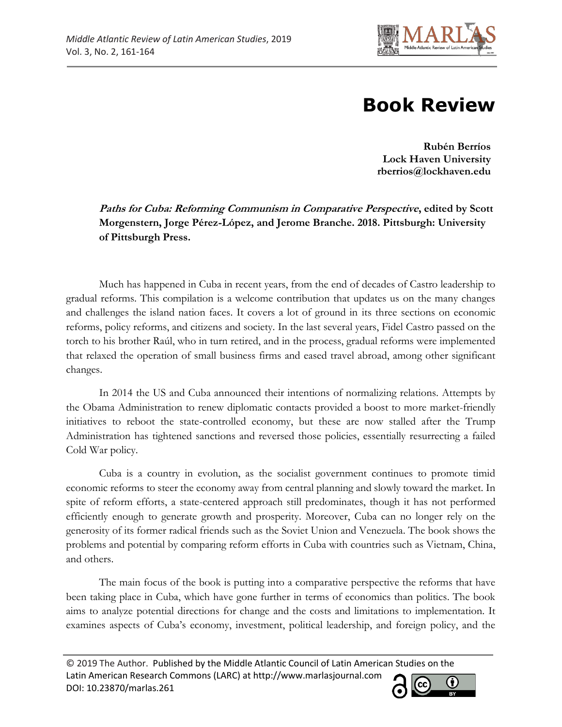

## **Book Review**

**Rubén Berríos Lock Haven University rberrios@lockhaven.edu**

**Paths for Cuba: Reforming Communism in Comparative Perspective, edited by Scott Morgenstern, Jorge Pérez-López, and Jerome Branche. 2018. Pittsburgh: University of Pittsburgh Press.**

Much has happened in Cuba in recent years, from the end of decades of Castro leadership to gradual reforms. This compilation is a welcome contribution that updates us on the many changes and challenges the island nation faces. It covers a lot of ground in its three sections on economic reforms, policy reforms, and citizens and society. In the last several years, Fidel Castro passed on the torch to his brother Raúl, who in turn retired, and in the process, gradual reforms were implemented that relaxed the operation of small business firms and eased travel abroad, among other significant changes.

In 2014 the US and Cuba announced their intentions of normalizing relations. Attempts by the Obama Administration to renew diplomatic contacts provided a boost to more market-friendly initiatives to reboot the state-controlled economy, but these are now stalled after the Trump Administration has tightened sanctions and reversed those policies, essentially resurrecting a failed Cold War policy.

Cuba is a country in evolution, as the socialist government continues to promote timid economic reforms to steer the economy away from central planning and slowly toward the market. In spite of reform efforts, a state-centered approach still predominates, though it has not performed efficiently enough to generate growth and prosperity. Moreover, Cuba can no longer rely on the generosity of its former radical friends such as the Soviet Union and Venezuela. The book shows the problems and potential by comparing reform efforts in Cuba with countries such as Vietnam, China, and others.

The main focus of the book is putting into a comparative perspective the reforms that have been taking place in Cuba, which have gone further in terms of economics than politics. The book aims to analyze potential directions for change and the costs and limitations to implementation. It examines aspects of Cuba's economy, investment, political leadership, and foreign policy, and the

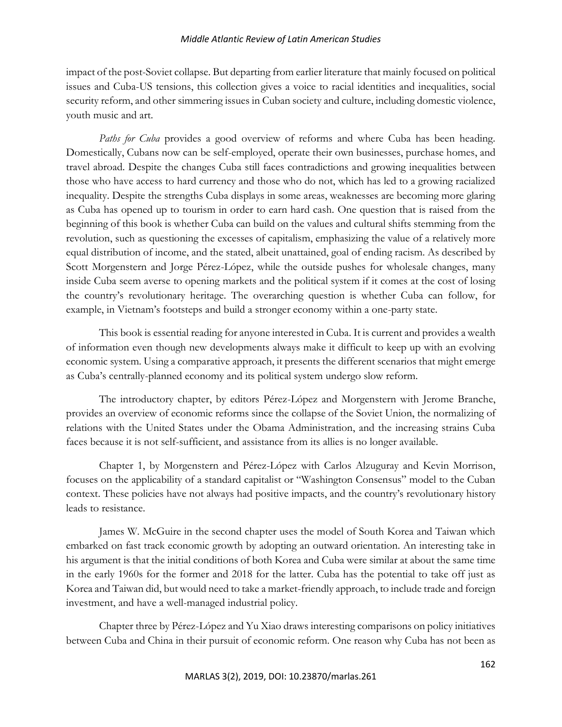## *Middle Atlantic Review of Latin American Studies*

impact of the post-Soviet collapse. But departing from earlier literature that mainly focused on political issues and Cuba-US tensions, this collection gives a voice to racial identities and inequalities, social security reform, and other simmering issues in Cuban society and culture, including domestic violence, youth music and art.

*Paths for Cuba* provides a good overview of reforms and where Cuba has been heading. Domestically, Cubans now can be self-employed, operate their own businesses, purchase homes, and travel abroad. Despite the changes Cuba still faces contradictions and growing inequalities between those who have access to hard currency and those who do not, which has led to a growing racialized inequality. Despite the strengths Cuba displays in some areas, weaknesses are becoming more glaring as Cuba has opened up to tourism in order to earn hard cash. One question that is raised from the beginning of this book is whether Cuba can build on the values and cultural shifts stemming from the revolution, such as questioning the excesses of capitalism, emphasizing the value of a relatively more equal distribution of income, and the stated, albeit unattained, goal of ending racism. As described by Scott Morgenstern and Jorge Pérez-López, while the outside pushes for wholesale changes, many inside Cuba seem averse to opening markets and the political system if it comes at the cost of losing the country's revolutionary heritage. The overarching question is whether Cuba can follow, for example, in Vietnam's footsteps and build a stronger economy within a one-party state.

This book is essential reading for anyone interested in Cuba. It is current and provides a wealth of information even though new developments always make it difficult to keep up with an evolving economic system. Using a comparative approach, it presents the different scenarios that might emerge as Cuba's centrally-planned economy and its political system undergo slow reform.

The introductory chapter, by editors Pérez-López and Morgenstern with Jerome Branche, provides an overview of economic reforms since the collapse of the Soviet Union, the normalizing of relations with the United States under the Obama Administration, and the increasing strains Cuba faces because it is not self-sufficient, and assistance from its allies is no longer available.

Chapter 1, by Morgenstern and Pérez-López with Carlos Alzuguray and Kevin Morrison, focuses on the applicability of a standard capitalist or "Washington Consensus" model to the Cuban context. These policies have not always had positive impacts, and the country's revolutionary history leads to resistance.

James W. McGuire in the second chapter uses the model of South Korea and Taiwan which embarked on fast track economic growth by adopting an outward orientation. An interesting take in his argument is that the initial conditions of both Korea and Cuba were similar at about the same time in the early 1960s for the former and 2018 for the latter. Cuba has the potential to take off just as Korea and Taiwan did, but would need to take a market-friendly approach, to include trade and foreign investment, and have a well-managed industrial policy.

Chapter three by Pérez-López and Yu Xiao draws interesting comparisons on policy initiatives between Cuba and China in their pursuit of economic reform. One reason why Cuba has not been as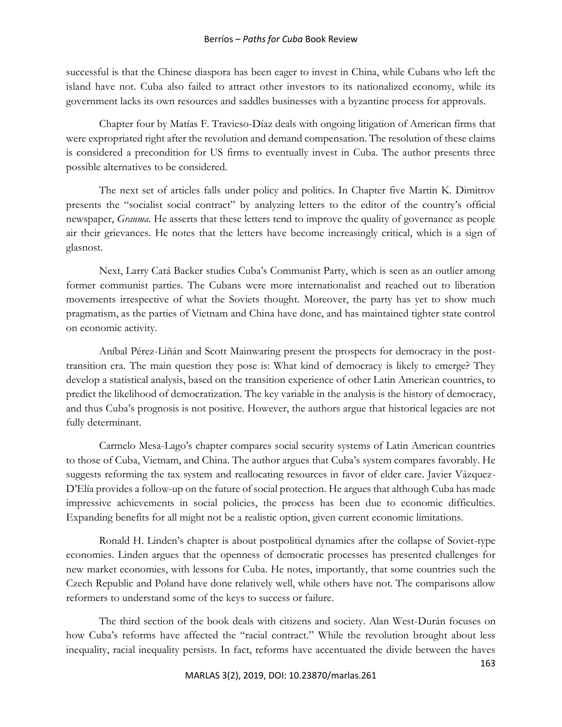## Berríos – *Paths for Cuba* Book Review

successful is that the Chinese diaspora has been eager to invest in China, while Cubans who left the island have not. Cuba also failed to attract other investors to its nationalized economy, while its government lacks its own resources and saddles businesses with a byzantine process for approvals.

Chapter four by Matías F. Travieso-Díaz deals with ongoing litigation of American firms that were expropriated right after the revolution and demand compensation. The resolution of these claims is considered a precondition for US firms to eventually invest in Cuba. The author presents three possible alternatives to be considered.

The next set of articles falls under policy and politics. In Chapter five Martin K. Dimitrov presents the "socialist social contract" by analyzing letters to the editor of the country's official newspaper, *Granma*. He asserts that these letters tend to improve the quality of governance as people air their grievances. He notes that the letters have become increasingly critical, which is a sign of glasnost.

Next, Larry Catá Backer studies Cuba's Communist Party, which is seen as an outlier among former communist parties. The Cubans were more internationalist and reached out to liberation movements irrespective of what the Soviets thought. Moreover, the party has yet to show much pragmatism, as the parties of Vietnam and China have done, and has maintained tighter state control on economic activity.

Aníbal Pérez-Liñán and Scott Mainwaring present the prospects for democracy in the posttransition era. The main question they pose is: What kind of democracy is likely to emerge? They develop a statistical analysis, based on the transition experience of other Latin American countries, to predict the likelihood of democratization. The key variable in the analysis is the history of democracy, and thus Cuba's prognosis is not positive. However, the authors argue that historical legacies are not fully determinant.

Carmelo Mesa-Lago's chapter compares social security systems of Latin American countries to those of Cuba, Vietnam, and China. The author argues that Cuba's system compares favorably. He suggests reforming the tax system and reallocating resources in favor of elder care. Javier Vázquez-D'Elía provides a follow-up on the future of social protection. He argues that although Cuba has made impressive achievements in social policies, the process has been due to economic difficulties. Expanding benefits for all might not be a realistic option, given current economic limitations.

Ronald H. Linden's chapter is about postpolitical dynamics after the collapse of Soviet-type economies. Linden argues that the openness of democratic processes has presented challenges for new market economies, with lessons for Cuba. He notes, importantly, that some countries such the Czech Republic and Poland have done relatively well, while others have not. The comparisons allow reformers to understand some of the keys to success or failure.

The third section of the book deals with citizens and society. Alan West-Durán focuses on how Cuba's reforms have affected the "racial contract." While the revolution brought about less inequality, racial inequality persists. In fact, reforms have accentuated the divide between the haves